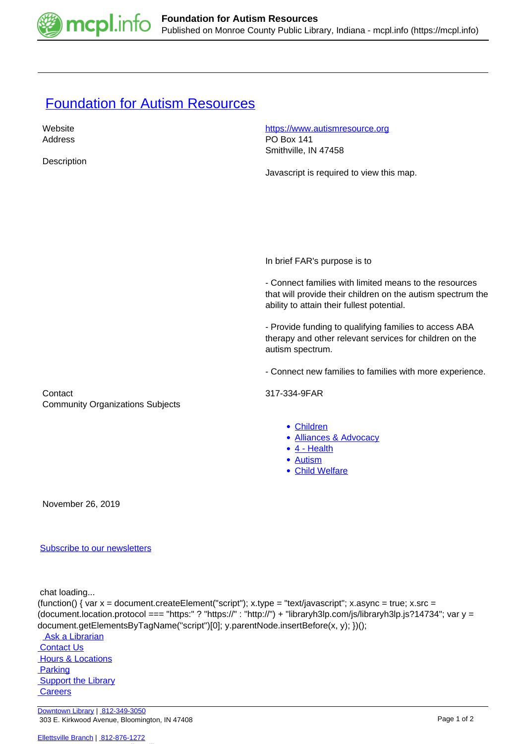

## **[Foundation for Autism Resources](https://mcpl.info/commorg/foundation-autism-resources)**

| Website                                 | https://www.autismresource.org                              |
|-----------------------------------------|-------------------------------------------------------------|
| Address                                 | <b>PO Box 141</b>                                           |
|                                         | Smithville, IN 47458                                        |
| Description                             |                                                             |
|                                         | Javascript is required to view this map.                    |
|                                         |                                                             |
|                                         |                                                             |
|                                         |                                                             |
|                                         |                                                             |
|                                         |                                                             |
|                                         |                                                             |
|                                         |                                                             |
|                                         | In brief FAR's purpose is to                                |
|                                         | - Connect families with limited means to the resources      |
|                                         | that will provide their children on the autism spectrum the |
|                                         | ability to attain their fullest potential.                  |
|                                         |                                                             |
|                                         | - Provide funding to qualifying families to access ABA      |
|                                         | therapy and other relevant services for children on the     |
|                                         | autism spectrum.                                            |
|                                         |                                                             |
|                                         | - Connect new families to families with more experience.    |
|                                         |                                                             |
| Contact                                 | 317-334-9FAR                                                |
| <b>Community Organizations Subjects</b> |                                                             |
|                                         |                                                             |
|                                         | • Children                                                  |
|                                         | • Alliances & Advocacy                                      |
|                                         | $\bullet$ 4 - Health<br>• Autism                            |
|                                         | • Child Welfare                                             |
|                                         |                                                             |
|                                         |                                                             |
| November 26, 2019                       |                                                             |
|                                         |                                                             |
|                                         |                                                             |

## [Subscribe to our newsletters](https://mcpl.info/geninfo/subscribe-think-library-newsletter)

chat loading...

```
(function() { var x = document.createElement("script"); x.type = "text/javascript"; x.async = true; x.src =
(document.location.protocol === "https:" ? "https://" : "http://") + "libraryh3lp.com/js/libraryh3lp.js?14734"; var y =
document.getElementsByTagName("script")[0]; y.parentNode.insertBefore(x, y); })();
```
 [Ask a Librarian](https://mcpl.info/askus)  [Contact Us](https://mcpl.info/geninfo/contact-us) **Hours & Locations Parking Support the Library Careers** 

[Downtown Library](https://mcpl.info/geninfo/downtown-library) | [812-349-3050](tel:812-349-3050) 303 E. Kirkwood Avenue, Bloomington, IN 47408